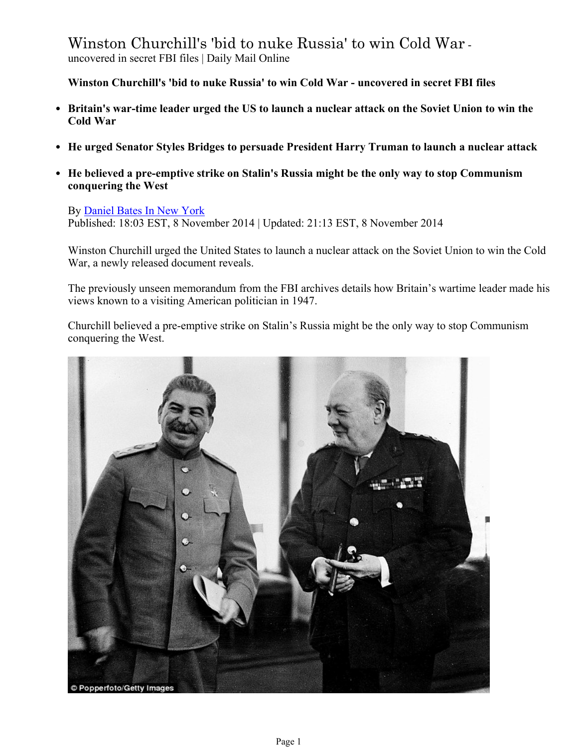Winston Churchill's 'bid to nuke Russia' to win Cold War uncovered in secret FBI files | Daily Mail Online

**Winston Churchill's 'bid to nuke Russia' to win Cold War - uncovered in secret FBI files**

- **Britain's war-time leader urged the US to launch a nuclear attack on the Soviet Union to win the Cold War**
- **He urged Senator Styles Bridges to persuade President Harry Truman to launch a nuclear attack**
- **He believed a pre-emptive strike on Stalin's Russia might be the only way to stop Communism conquering the West**

By Daniel Bates In New York Published: 18:03 EST, 8 November 2014 | Updated: 21:13 EST, 8 November 2014

Winston Churchill urged the United States to launch a nuclear attack on the Soviet Union to win the Cold War, a newly released document reveals.

The previously unseen memorandum from the FBI archives details how Britain's wartime leader made his views known to a visiting American politician in 1947.

Churchill believed a pre-emptive strike on Stalin's Russia might be the only way to stop Communism conquering the West.

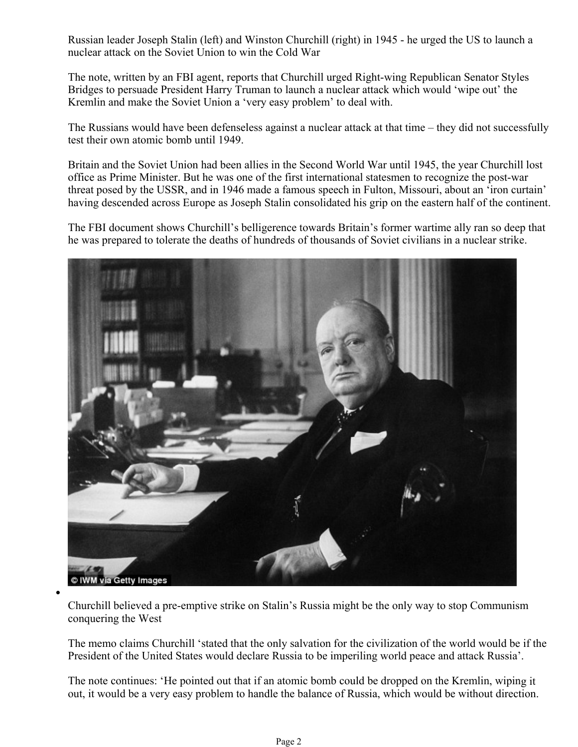Russian leader Joseph Stalin (left) and Winston Churchill (right) in 1945 - he urged the US to launch a nuclear attack on the Soviet Union to win the Cold War

The note, written by an FBI agent, reports that Churchill urged Right-wing Republican Senator Styles Bridges to persuade President Harry Truman to launch a nuclear attack which would 'wipe out' the Kremlin and make the Soviet Union a 'very easy problem' to deal with.

The Russians would have been defenseless against a nuclear attack at that time – they did not successfully test their own atomic bomb until 1949.

Britain and the Soviet Union had been allies in the Second World War until 1945, the year Churchill lost office as Prime Minister. But he was one of the first international statesmen to recognize the post-war threat posed by the USSR, and in 1946 made a famous speech in Fulton, Missouri, about an 'iron curtain' having descended across Europe as Joseph Stalin consolidated his grip on the eastern half of the continent.

The FBI document shows Churchill's belligerence towards Britain's former wartime ally ran so deep that he was prepared to tolerate the deaths of hundreds of thousands of Soviet civilians in a nuclear strike.



Churchill believed a pre-emptive strike on Stalin's Russia might be the only way to stop Communism conquering the West

The memo claims Churchill 'stated that the only salvation for the civilization of the world would be if the President of the United States would declare Russia to be imperiling world peace and attack Russia'.

The note continues: 'He pointed out that if an atomic bomb could be dropped on the Kremlin, wiping it out, it would be a very easy problem to handle the balance of Russia, which would be without direction.